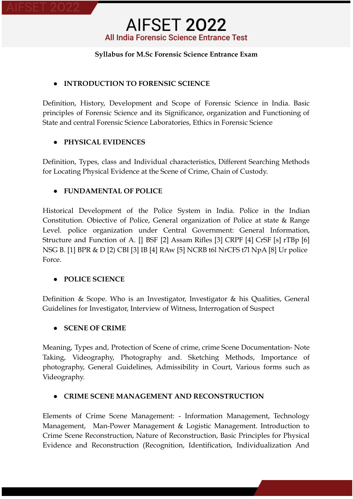### **Syllabus for M.Sc Forensic Science Entrance Exam**

### **● INTRODUCTION TO FORENSIC SCIENCE**

Definition, History, Development and Scope of Forensic Science in India. Basic principles of Forensic Science and its Significance, organization and Functioning of State and central Forensic Science Laboratories, Ethics in Forensic Science

## **● PHYSICAL EVIDENCES**

Definition, Types, class and Individual characteristics, Different Searching Methods for Locating Physical Evidence at the Scene of Crime, Chain of Custody.

## **● FUNDAMENTAL OF POLICE**

Historical Development of the Police System in India. Police in the Indian Constitution. Obiective of Police, General organization of Police at state & Range Level. police organization under Central Government: General Information, Structure and Function of A. [] BSF [2] Assam Rifles [3] CRPF [4] CrSF [s] rTBp [6] NSG B. [1] BPR & D [2) CBI [3] IB [4] RAw [5] NCRB t6l NrCFS t7l NpA [8] Ur police Force.

### **● POLICE SCIENCE**

Definition & Scope. Who is an Investigator, Investigator & his Qualities, General Guidelines for Investigator, Interview of Witness, Interrogation of Suspect

### **● SCENE OF CRIME**

Meaning, Types and, Protection of Scene of crime, crime Scene Documentation- Note Taking, Videography, Photography and. Sketching Methods, Importance of photography, General Guidelines, Admissibility in Court, Various forms such as Videography.

### **● CRIME SCENE MANAGEMENT AND RECONSTRUCTION**

Elements of Crime Scene Management: - Information Management, Technology Management, Man-Power Management & Logistic Management. Introduction to Crime Scene Reconstruction, Nature of Reconstruction, Basic Principles for Physical Evidence and Reconstruction (Recognition, Identification, Individualization And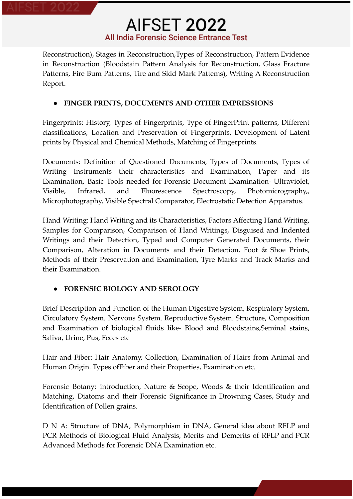Reconstruction), Stages in Reconstruction,Types of Reconstruction, Pattern Evidence in Reconstruction (Bloodstain Pattern Analysis for Reconstruction, Glass Fracture Patterns, Fire Bum Patterns, Tire and Skid Mark Pattems), Writing A Reconstruction Report.

## **● FINGER PRINTS, DOCUMENTS AND OTHER IMPRESSIONS**

Fingerprints: History, Types of Fingerprints, Type of FingerPrint patterns, Different classifications, Location and Preservation of Fingerprints, Development of Latent prints by Physical and Chemical Methods, Matching of Fingerprints.

Documents: Definition of Questioned Documents, Types of Documents, Types of Writing Instruments their characteristics and Examination, Paper and its Examination, Basic Tools needed for Forensic Document Examination- Ultraviolet, Visible, Infrared, and Fluorescence Spectroscopy, Photomicrography,, Microphotography, Visible Spectral Comparator, Electrostatic Detection Apparatus.

Hand Writing: Hand Writing and its Characteristics, Factors Affecting Hand Writing, Samples for Comparison, Comparison of Hand Writings, Disguised and Indented Writings and their Detection, Typed and Computer Generated Documents, their Comparison, Alteration in Documents and their Detection, Foot & Shoe Prints, Methods of their Preservation and Examination, Tyre Marks and Track Marks and their Examination.

## **● FORENSIC BIOLOGY AND SEROLOGY**

Brief Description and Function of the Human Digestive System, Respiratory System, Circulatory System. Nervous System. Reproductive System. Structure, Composition and Examination of biological fluids like- Blood and Bloodstains,Seminal stains, Saliva, Urine, Pus, Feces etc

Hair and Fiber: Hair Anatomy, Collection, Examination of Hairs from Animal and Human Origin. Types ofFiber and their Properties, Examination etc.

Forensic Botany: introduction, Nature & Scope, Woods & their Identification and Matching, Diatoms and their Forensic Significance in Drowning Cases, Study and Identification of Pollen grains.

D N A: Structure of DNA, Polymorphism in DNA, General idea about RFLP and PCR Methods of Biological Fluid Analysis, Merits and Demerits of RFLP and PCR Advanced Methods for Forensic DNA Examination etc.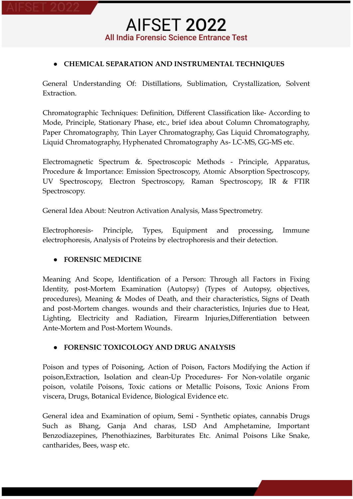## **● CHEMICAL SEPARATION AND INSTRUMENTAL TECHNIQUES**

General Understanding Of: Distillations, Sublimation, Crystallization, Solvent Extraction.

Chromatographic Techniques: Definition, Different Classification like- According to Mode, Principle, Stationary Phase, etc., brief idea about Column Chromatography, Paper Chromatography, Thin Layer Chromatography, Gas Liquid Chromatography, Liquid Chromatography, Hyphenated Chromatography As- LC-MS, GG-MS etc.

Electromagnetic Spectrum &. Spectroscopic Methods - Principle, Apparatus, Procedure & Importance: Emission Spectroscopy, Atomic Absorption Spectroscopy, UV Spectroscopy, Electron Spectroscopy, Raman Spectroscopy, IR & FTIR Spectroscopy.

General Idea About: Neutron Activation Analysis, Mass Spectrometry.

Electrophoresis- Principle, Types, Equipment and processing, Immune electrophoresis, Analysis of Proteins by electrophoresis and their detection.

### **● FORENSIC MEDICINE**

Meaning And Scope, Identification of a Person: Through all Factors in Fixing Identity, post-Mortem Examination (Autopsy) (Types of Autopsy, objectives, procedures), Meaning & Modes of Death, and their characteristics, Signs of Death and post-Mortem changes. wounds and their characteristics, Injuries due to Heat, Lighting, Electricity and Radiation, Firearm Injuries,Differentiation between Ante-Mortem and Post-Mortem Wounds.

### **● FORENSIC TOXICOLOGY AND DRUG ANALYSIS**

Poison and types of Poisoning, Action of Poison, Factors Modifying the Action if poison,Extraction, Isolation and clean-Up Procedures- For Non-volatile organic poison, volatile Poisons, Toxic cations or Metallic Poisons, Toxic Anions From viscera, Drugs, Botanical Evidence, Biological Evidence etc.

General idea and Examination of opium, Semi - Synthetic opiates, cannabis Drugs Such as Bhang, Ganja And charas, LSD And Amphetamine, Important Benzodiazepines, Phenothiazines, Barbiturates Etc. Animal Poisons Like Snake, cantharides, Bees, wasp etc.